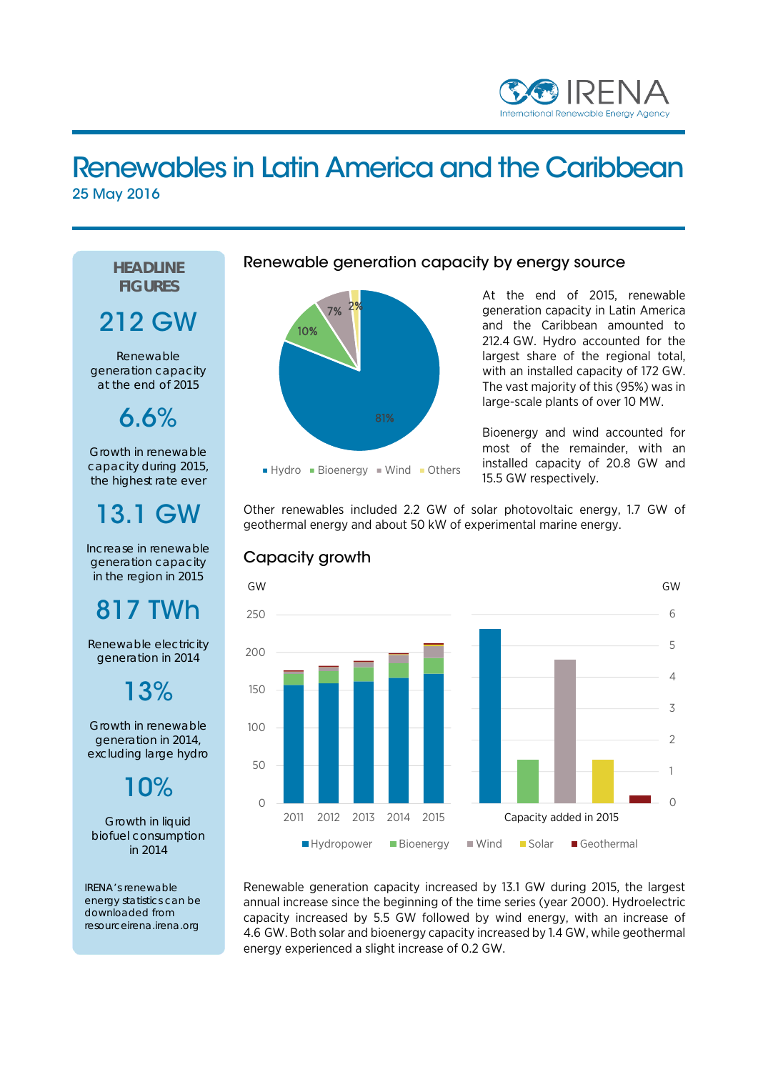

### Renewables in Latin America and the Caribbean 25 May 2016

### **HEADLINE FIGURES**

### 212 GW

Renewable generation capacity at the end of 2015

6.6%

Growth in renewable capacity during 2015, the highest rate ever

## 13.1 GW

Increase in renewable generation capacity in the region in 2015

# 817 TWh

Renewable electricity generation in 2014

13%

Growth in renewable generation in 2014, excluding large hydro

10%

Growth in liquid biofuel consumption in 2014

IRENA's renewable energy statistics can be downloaded from resourceirena.irena.org



Renewable generation capacity by energy source



At the end of 2015, renewable generation capacity in Latin America and the Caribbean amounted to 212.4 GW. Hydro accounted for the largest share of the regional total, with an installed capacity of 172 GW. The vast majority of this (95%) was in large-scale plants of over 10 MW.

Bioenergy and wind accounted for most of the remainder, with an installed capacity of 20.8 GW and 15.5 GW respectively.

Other renewables included 2.2 GW of solar photovoltaic energy, 1.7 GW of geothermal energy and about 50 kW of experimental marine energy.



Capacity growth

Renewable generation capacity increased by 13.1 GW during 2015, the largest annual increase since the beginning of the time series (year 2000). Hydroelectric capacity increased by 5.5 GW followed by wind energy, with an increase of 4.6 GW. Both solar and bioenergy capacity increased by 1.4 GW, while geothermal energy experienced a slight increase of 0.2 GW.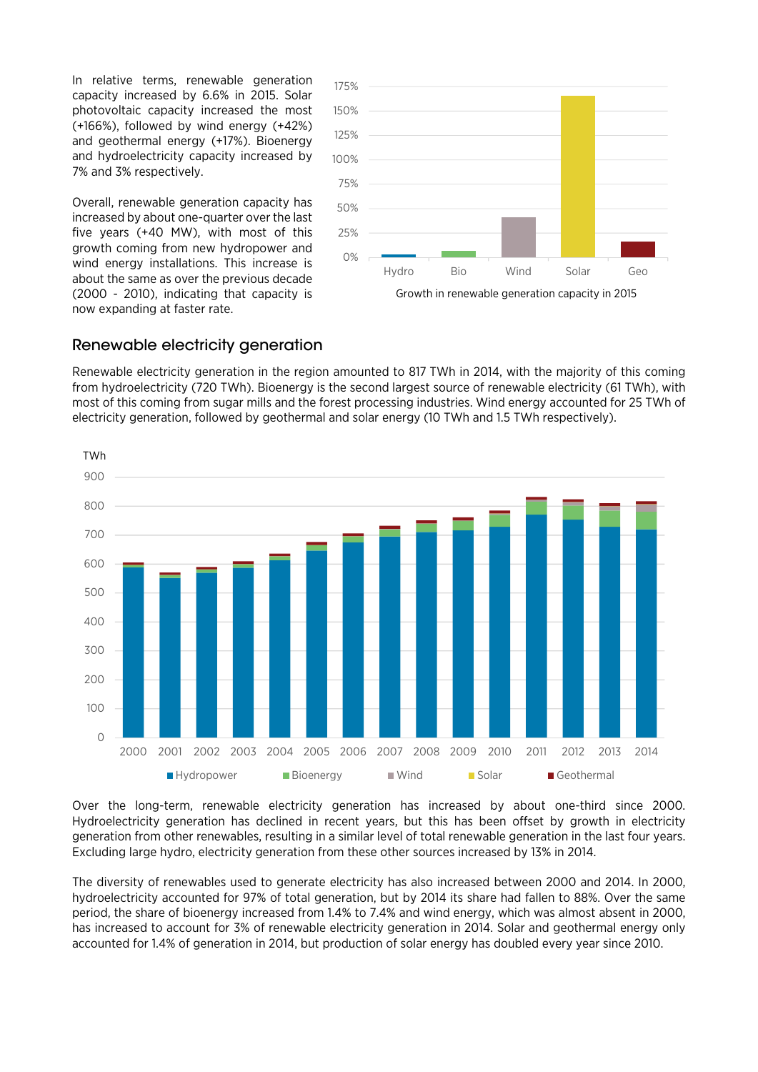In relative terms, renewable generation capacity increased by 6.6% in 2015. Solar photovoltaic capacity increased the most (+166%), followed by wind energy (+42%) and geothermal energy (+17%). Bioenergy and hydroelectricity capacity increased by 7% and 3% respectively.

Overall, renewable generation capacity has increased by about one-quarter over the last five years (+40 MW), with most of this growth coming from new hydropower and wind energy installations. This increase is about the same as over the previous decade (2000 - 2010), indicating that capacity is now expanding at faster rate.



#### Renewable electricity generation

Renewable electricity generation in the region amounted to 817 TWh in 2014, with the majority of this coming from hydroelectricity (720 TWh). Bioenergy is the second largest source of renewable electricity (61 TWh), with most of this coming from sugar mills and the forest processing industries. Wind energy accounted for 25 TWh of electricity generation, followed by geothermal and solar energy (10 TWh and 1.5 TWh respectively).



Over the long-term, renewable electricity generation has increased by about one-third since 2000. Hydroelectricity generation has declined in recent years, but this has been offset by growth in electricity generation from other renewables, resulting in a similar level of total renewable generation in the last four years. Excluding large hydro, electricity generation from these other sources increased by 13% in 2014.

The diversity of renewables used to generate electricity has also increased between 2000 and 2014. In 2000, hydroelectricity accounted for 97% of total generation, but by 2014 its share had fallen to 88%. Over the same period, the share of bioenergy increased from 1.4% to 7.4% and wind energy, which was almost absent in 2000, has increased to account for 3% of renewable electricity generation in 2014. Solar and geothermal energy only accounted for 1.4% of generation in 2014, but production of solar energy has doubled every year since 2010.